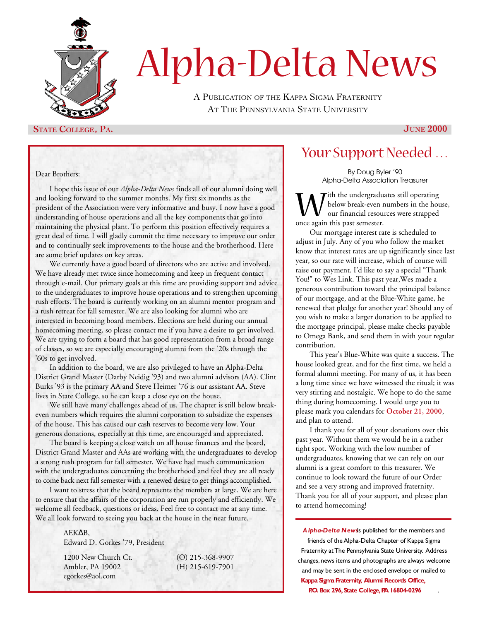

# Alpha-Delta News

A PUBLICATION OF THE KAPPA SIGMA FRATERNITY AT THE PENNSYLVANIA STATE UNIVERSITY

### **STATE COLLEGE, PA. JUNE** 2000

#### Dear Brothers:

I hope this issue of our *Alpha-Delta News* finds all of our alumni doing well and looking forward to the summer months. My first six months as the president of the Association were very informative and busy. I now have a good understanding of house operations and all the key components that go into maintaining the physical plant. To perform this position effectively requires a great deal of time. I will gladly commit the time necessary to improve our order and to continually seek improvements to the house and the brotherhood. Here are some brief updates on key areas.

We currently have a good board of directors who are active and involved. We have already met twice since homecoming and keep in frequent contact through e-mail. Our primary goals at this time are providing support and advice to the undergraduates to improve house operations and to strengthen upcoming rush efforts. The board is currently working on an alumni mentor program and a rush retreat for fall semester. We are also looking for alumni who are interested in becoming board members. Elections are held during our annual homecoming meeting, so please contact me if you have a desire to get involved. We are trying to form a board that has good representation from a broad range of classes, so we are especially encouraging alumni from the '20s through the '60s to get involved.

In addition to the board, we are also privileged to have an Alpha-Delta District Grand Master (Darby Neidig '93) and two alumni advisors (AA). Clint Burks '93 is the primary AA and Steve Heimer '76 is our assistant AA. Steve lives in State College, so he can keep a close eye on the house.

We still have many challenges ahead of us. The chapter is still below breakeven numbers which requires the alumni corporation to subsidize the expenses of the house. This has caused our cash reserves to become very low. Your generous donations, especially at this time, are encouraged and appreciated.

The board is keeping a close watch on all house finances and the board, District Grand Master and AAs are working with the undergraduates to develop a strong rush program for fall semester. We have had much communication with the undergraduates concerning the brotherhood and feel they are all ready to come back next fall semester with a renewed desire to get things accomplished.

I want to stress that the board represents the members at large. We are here to ensure that the affairs of the corporation are run properly and efficiently. We welcome all feedback, questions or ideas. Feel free to contact me at any time. We all look forward to seeing you back at the house in the near future.

### AEK B,

Edward D. Gorkes '79, President

1200 New Church Ct. (O) 215-368-9907 Ambler, PA 19002 (H) 215-619-7901 egorkes@aol.com

### Your Support Needed …

By Doug Byler '90 Alpha-Delta Association Treasurer

W ich the undergradu<br>
once again this past semester. rith the undergraduates still operating below break-even numbers in the house, our financial resources were strapped

Our mortgage interest rate is scheduled to adjust in July. Any of you who follow the market know that interest rates are up significantly since last year, so our rate will increase, which of course will raise our payment. I'd like to say a special "Thank You!" to Wes Link. This past year,Wes made a generous contribution toward the principal balance of our mortgage, and at the Blue-White game, he renewed that pledge for another year! Should any of you wish to make a larger donation to be applied to the mortgage principal, please make checks payable to Omega Bank, and send them in with your regular contribution.

This year's Blue-White was quite a success. The house looked great, and for the first time, we held a formal alumni meeting. For many of us, it has been a long time since we have witnessed the ritual; it was very stirring and nostalgic. We hope to do the same thing during homecoming. I would urge you to please mark you calendars for **October 21, 2000**, and plan to attend.

I thank you for all of your donations over this past year. Without them we would be in a rather tight spot. Working with the low number of undergraduates, knowing that we can rely on our alumni is a great comfort to this treasurer. We continue to look toward the future of our Order and see a very strong and improved fraternity. Thank you for all of your support, and please plan to attend homecoming!

*Alpha-Delta News*is published for the members and friends of the Alpha-Delta Chapter of Kappa Sigma Fraternity at The Pennsylvania State University. Address changes, news items and photographs are always welcome and may be sent in the enclosed envelope or mailed to **Kappa Sigma Fraternity, Alumni Records Office,**

**P.O. Box 296, State College, PA 16804-0296** .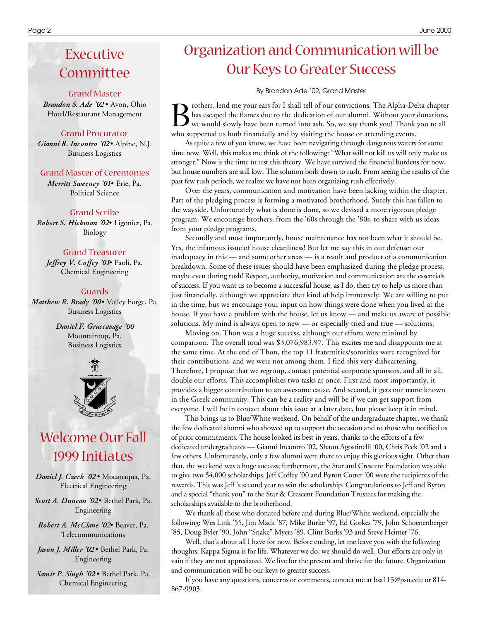### Executive Committee

#### Grand Master

*Brandon S. Ade '02* • Avon, Ohio Hotel/Restaurant Management

### Grand Procurator

*Gianni R. Incontro '02* • Alpine, N.J. Business Logistics

#### Grand Master of Ceremonies

*Merritt Sweeney '01* • Erie, Pa. Political Science

#### Grand Scribe

*Robert S. Hickman '02* • Ligonier, Pa. Biology

#### Grand Treasurer

Jeffrey V. Coffey '01<sup>•</sup> Paoli, Pa. Chemical Engineering

#### Guards

*Matthew R. Brady '00* • Valley Forge, Pa. Business Logistics

> *Daniel F. Gruscavage '00* Mountaintop, Pa. Business Logistics



### Welcome Our Fall 1999 Initiates

*Daniel J. Czeck '02* • Mocanaqua, Pa. Electrical Engineering

*Scott A. Duncan '02* • Bethel Park, Pa. Engineering

*Robert A. McClane '02* • Beaver, Pa. Telecommunications

*Jason J. Miller '02* • Bethel Park, Pa. Engineering

*Samir P. Singh '02* • Bethel Park, Pa. Chemical Engineering

### Organization and Communication will be Our Keys to Greater Success

By Brandon Ade '02, Grand Master

B rothers, lend me your ears for I shall tell of our convictions. The Alpha-De has escaped the flames due to the dedication of our alumni. Without your we would slowly have been turned into ash. So, we say thank you! Thank rothers, lend me your ears for I shall tell of our convictions. The Alpha-Delta chapter has escaped the flames due to the dedication of our alumni. Without your donations, we would slowly have been turned into ash. So, we say thank you! Thank you to all

As quite a few of you know, we have been navigating through dangerous waters for some time now. Well, this makes me think of the following: "What will not kill us will only make us stronger." Now is the time to test this theory. We have survived the financial burdens for now, but house numbers are still low. The solution boils down to rush. From seeing the results of the past few rush periods, we realize we have not been organizing rush effectively.

Over the years, communication and motivation have been lacking within the chapter. Part of the pledging process is forming a motivated brotherhood. Surely this has fallen to the wayside. Unfortunately what is done is done, so we devised a more rigorous pledge program. We encourage brothers, from the '60s through the '80s, to share with us ideas from your pledge programs.

Secondly and most importantly, house maintenance has not been what it should be. Yes, the infamous issue of house cleanliness! But let me say this in our defense: our inadequacy in this — and some other areas — is a result and product of a communication breakdown. Some of these issues should have been emphasized during the pledge process, maybe even during rush! Respect, authority, motivation and communication are the essentials of success. If you want us to become a successful house, as I do, then try to help us more than just financially, although we appreciate that kind of help immensely. We are willing to put in the time, but we encourage your input on how things were done when you lived at the house. If you have a problem with the house, let us know — and make us aware of possible solutions. My mind is always open to new — or especially tried and true — solutions.

Moving on. Thon was a huge success, although our efforts were minimal by comparison. The overall total was \$3,076,983.97. This excites me and disappoints me at the same time. At the end of Thon, the top 11 fraternities/sororities were recognized for their contributions, and we were not among them. I find this very disheartening. Therefore, I propose that we regroup, contact potential corporate sponsors, and all in all, double our efforts. This accomplishes two tasks at once. First and most importantly, it provides a bigger contribution to an awesome cause. And second, it gets our name known in the Greek community. This can be a reality and will be if we can get support from everyone. I will be in contact about this issue at a later date, but please keep it in mind.

This brings us to Blue/White weekend. On behalf of the undergraduate chapter, we thank the few dedicated alumni who showed up to support the occasion and to those who notified us of prior commitments. The house looked its best in years, thanks to the efforts of a few dedicated undergraduates — Gianni Incontro '02, Shaun Agostinelli '00, Chris Peck '02 and a few others. Unfortunately, only a few alumni were there to enjoy this glorious sight. Other than that, the weekend was a huge success; furthermore, the Star and Crescent Foundation was able to give two \$4,000 scholarships. Jeff Coffey '00 and Byron Cotter '00 were the recipients of the rewards. This was Jeff 's second year to win the scholarship. Congratulations to Jeff and Byron and a special "thank you" to the Star & Crescent Foundation Trustees for making the scholarships available to the brotherhood.

We thank all those who donated before and during Blue/White weekend, especially the following: Wes Link '55, Jim Mack '87, Mike Burke '97, Ed Gorkes '79, John Schoenenberger '85, Doug Byler '90, John "Snake" Myers '89, Clint Burks '93 and Steve Heimer '76.

Well, that's about all I have for now. Before ending, let me leave you with the following thoughts: Kappa Sigma is for life. Whatever we do, we should do well. Our efforts are only in vain if they are not appreciated. We live for the present and thrive for the future. Organization and communication will be our keys to greater success.

If you have any questions, concerns or comments, contact me at bsa113@psu.edu or 814- 867-9903.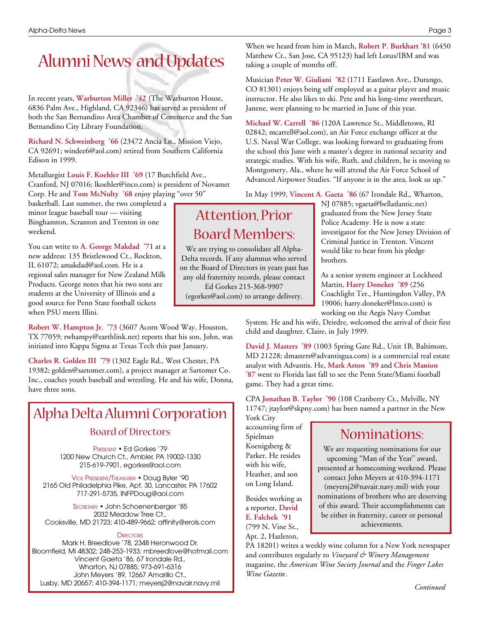## Alumni News and Updates

In recent years, **Warburton Miller '42** (The Warburton House, 6836 Palm Ave., Highland, CA 92346) has served as president of both the San Bernandino Area Chamber of Commerce and the San Bernandino City Library Foundation.

**Richard N. Schweinberg '66** (23472 Ancia Ln., Mission Viejo, CA 92691; windee6@aol.com) retired from Southern California Edison in 1999.

Metallurgist **Louis F. Koehler III '69** (17 Burchfield Ave., Cranford, NJ 07016; lkoehler@inco.com) is president of Novamet Corp. He and **Tom McNulty '68** enjoy playing "over 50"

basketball. Last summer, the two completed a minor league baseball tour — visiting Binghamton, Scranton and Trenton in one weekend.

You can write to **A. George Makdad '71** at a new address: 135 Bristlewood Ct., Rockton, IL 61072; amakdad@aol.com. He is a regional sales manager for New Zealand Milk Products. George notes that his two sons are students at the University of Illinois and a good source for Penn State football tickets when PSU meets Illini.

**Robert W. Hampton Jr. '73** (3607 Acorn Wood Way, Houston, TX 77059; rwhampy@earthlink.net) reports that his son, John, was initiated into Kappa Sigma at Texas Tech this past January.

**Charles R. Golden III '79** (1302 Eagle Rd., West Chester, PA 19382; golden@sartomer.com), a project manager at Sartomer Co. Inc., coaches youth baseball and wrestling. He and his wife, Donna, have three sons.

### Alpha Delta Alumni Corporation Board of Directors

PRESIDENT • Ed Gorkes '79 1200 New Church Ct., Ambler, PA 19002-1330 215-619-7901, egorkes@aol.com

VICE PRESIDENT/TREASURER • Doug Byler '90 2165 Old Philadelphia Pike, Apt. 30, Lancaster, PA 17602 717-291-5735, INFPDoug@aol.com

SECRETARY • John Schoenenberger '85 2032 Meadow Tree Ct., Cooksville, MD 21723; 410-489-9662; affinity@erols.com

#### **DIRECTORS**

Mark H. Breedlove '78, 2348 Heronwood Dr. Bloomfield, MI 48302; 248-253-1933; mbreedlove@hotmail.com Vincent Gaeta '86, 67 Irondale Rd., Wharton, NJ 07885; 973-691-6316 John Meyers '89, 12667 Amarillo Ct., Lusby, MD 20657; 410-394-1171; meyersj2@navair.navy.mil

When we heard from him in March, **Robert P. Burkhart '81** (6450 Matthew Ct., San Jose, CA 95123) had left Lotus/IBM and was taking a couple of months off.

Musician **Peter W. Giuliani '82** (1711 Eastlawn Ave., Durango, CO 81301) enjoys being self employed as a guitar player and music instructor. He also likes to ski. Pete and his long-time sweetheart, Janene, were planning to be married in June of this year.

**Michael W. Carrell '86** (120A Lawrence St., Middletown, RI 02842; mcarrell@aol.com), an Air Force exchange officer at the U.S. Naval War College, was looking forward to graduating from the school this June with a master's degree in national security and strategic studies. With his wife, Ruth, and children, he is moving to Montgomery, Ala., where he will attend the Air Force School of Advanced Airpower Studies. "If anyone is in the area, look us up."

In May 1999, **Vincent A. Gaeta '86** (67 Irondale Rd., Wharton,

### Attention, Prior Board Members:

We are trying to consolidate all Alpha-Delta records. If any alumnus who served on the Board of Directors in years past has any old fraternity records, please contact

Ed Gorkes 215-368-9907

(egorkes@aol.com) to arrange delivery.

NJ 07885; vgaeta@bellatlantic.net) graduated from the New Jersey State Police Academy. He is now a state investigator for the New Jersey Division of Criminal Justice in Trenton. Vincent would like to hear from his pledge brothers.

As a senior system engineer at Lockheed Martin, **Harry Doneker '89** (256 Coachlight Ter., Huntingdon Valley, PA 19006; harry.doneker@lmco.com) is working on the Aegis Navy Combat

System. He and his wife, Deirdre, welcomed the arrival of their first child and daughter, Claire, in July 1999.

**David J. Masters '89** (1003 Spring Gate Rd., Unit 1B, Baltimore, MD 21228; dmasters@advantisgua.com) is a commercial real estate analyst with Advantis. He, **Mark Aston '89** and **Chris Manion '87** went to Florida last fall to see the Penn State/Miami football game. They had a great time.

CPA **Jonathan B. Taylor '90** (108 Cranberry Ct., Melville, NY 11747; jtaylor@skpny.com) has been named a partner in the New York City

accounting firm of Spielman Koenigsberg & Parker. He resides with his wife, Heather, and son on Long Island.

Besides working as a reporter, **David E. Falchek '91** (799 N. Vine St., Apt. 2, Hazleton,

### Nominations:

We are requesting nominations for our upcoming "Man of the Year" award, presented at homecoming weekend. Please contact John Meyers at 410-394-1171 (meyersj2@navair.navy.mil) with your nominations of brothers who are deserving of this award. Their accomplishments can be either in fraternity, career or personal achievements.

PA 18201) writes a weekly wine column for a New York newspaper and contributes regularly to *Vineyard & Winery Management* magazine, the *American Wine Society Journal* and the *Finger Lakes Wine Gazette*.